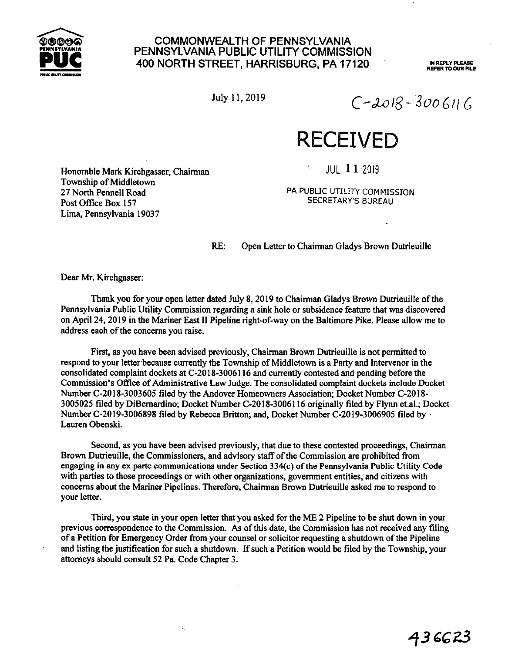

### **COMMONWEALTH OF PENNSYLVANIA PENNSYLVANIA PUBLIC UTILITY COMMISSION PUC** 400 NORTH STREET, HARRISBURG, PA 17120

IN REPLY PLEASE<br>REFER TO OUR FILE

 $July 11,2019$   $(-2018 - 300611)$ 

## **RECEIVED**

JUL **11-2019**

PA PUBLIC UTILITY COMMISSION SECRETARY'S BUREAU

Honorable Mark Kirchgasser, Chairman Township of Middletown 27 North Pennell Road Post Office Box 157 Lima, Pennsylvania 19037

RE: Open Letter to Chairman Gladys Brown Dutrieuille

 $\bar{\mathbf{t}}$ 

Dear Mr. Kirchgasser:

Thank you for your open letter dated July 8,2019 to Chairman Gladys Brown Dutrieuille ofthe Pennsylvania Public Utility Commission regarding a sink hole or subsidence feature that was discovered on April 24,2019 in the Mariner East II Pipeline right-of-way on the Baltimore Pike. Please allow me to address each of the concerns you raise.

First, as you have been advised previously, Chairman Brown Dutrieuille is not permitted to respond to your letter because currently the Township of Middletown is a Party and Intervenor in the consolidated complaint dockets at C-2018-3006116 and currently contested and pending before the Commission's Office of Administrative Law Judge. The consolidated complaint dockets include Docket Number C-2018-3003605 filed by the Andover Homeowners Association; Docket Number C-2018- 3005025 filed by DiBemardino; Docket Number C-2018-3006116 originally filed by Flynn et.al.; Docket Number C-2019-3006898 filed by Rebecca Britton; and. Docket Number C-2019-3006905 filed by Lauren Obenski.

Second, as you have been advised previously, that due to these contested proceedings. Chairman Brown Dutrieuille, the Commissioners, and advisory staff of the Commission are prohibited from engaging in any ex parte communications under Section 334(c) of the Pennsylvania Public Utility Code with parties to those proceedings or with other organizations, government entities, and citizens with concerns about the Mariner Pipelines. Therefore, Chairman Brown Dutrieuille asked me to respond to your letter.

Third, you state in your open letter that you asked for the ME 2 Pipeline to be shut down in your previous correspondence to the Commission. As of this date, the Commission has not received any filing of a Petition for Emergency Order from your counsel or solicitor requesting a shutdown of the Pipeline and listing the justification for such a shutdown. If such a Petition would be filed by the Township, your attorneys should consult 52 Pa. Code Chapter 3.

 $\ddot{\phantom{a}}$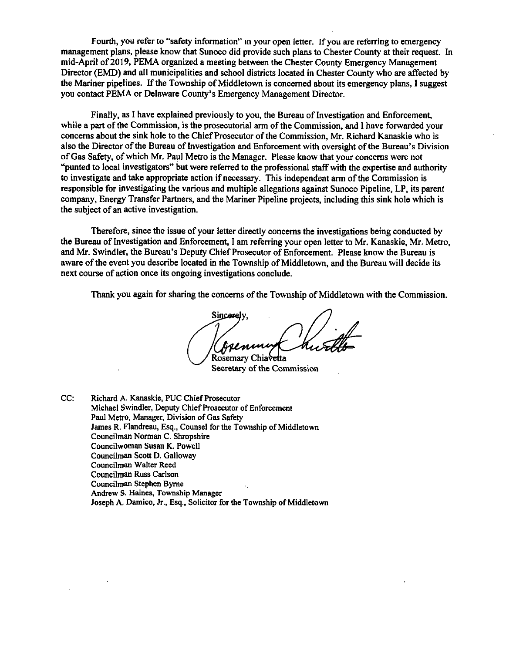Fourth, you refer to "safety information" in your open letter. If you are referring to emergency management plans, please know that Sunoco did provide such plans to Chester County at their request. In mid-April of 2019, PEMA organized a meeting between the Chester County Emergency Management Director (EMD) and all municipalities and school districts located in Chester County who are affected by the Mariner pipelines. If the Township of Middletown is concerned about its emergency plans, I suggest you contact PEMA or Delaware County's Emergency Management Director.

Finally, as I have explained previously to you, the Bureau of Investigation and Enforcement, while a part of the Commission, is the prosecutorial arm of the Commission, and I have forwarded your concerns about the sink hole to the Chief Prosecutor of the Commission, Mr. Richard Kanaskie who is also the Director of the Bureau of Investigation and Enforcement with oversight of the Bureau's Division ofGas Safety, ofwhich Mr. Paul Metro is the Manager. Please know that your concerns were not "punted to local investigators" but were referred to the professional staff with the expertise and authority to investigate and take appropriate action if necessary. This independent arm of the Commission is responsible for investigating the various and multiple allegations against Sunoco Pipeline, LP, its parent company. Energy Transfer Partners, and the Mariner Pipeline projects, including this sink hole which is the subject of an active investigation.

Therefore, since the issue of your letter directly concerns the investigations being conducted by the Bureau of Investigation and Enforcement, I am referring your open letter to Mr. Kanaskie, Mr. Metro, and Mr. Swindler, the Bureau's Deputy Chief Prosecutor of Enforcement. Please know the Bureau is aware of the event you describe located in the Township of Middletown, and the Bureau will decide its next course of action once its ongoing investigations conclude.

Thank you again for sharing the concerns of the Township of Middletown with the Commission.

Sincerely. Rosemary Chiavetta

Secretary of the Commission

CC: Richard A. Kanaskie, PUC Chief Prosecutor Michael Swindler, Deputy Chief Prosecutor of Enforcement Paul Metro, Manager, Division of Gas Safety James R. Flandreau, Esq., Counsel for the Township of Middletown Councilman Norman C. Shropshire Councilwoman Susan K. Powell Councilman Scott D. Galloway Councilman Walter Reed Councilman Russ Carlson Councilman Stephen Byrne Andrew S. Haines, Township Manager Joseph A. Damico, Jr., Esq., Solicitor for the Township of Middletown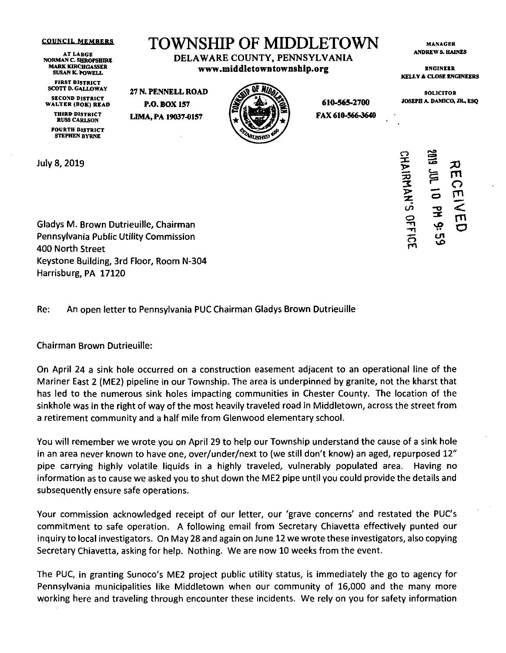#### COUNCIL MEMBERS

AT LARGE NORMAN C. SHROPSHIRE MARK KIRCHGASSER SUSAN K. POWELL

FIRST DISTRICT SCOTT D. GALLOWAY

SECOND DISTRICT WALTER (BOK) READ

THIRD DISTRICT RUSS CARLSON

FOURTH DISTRICT STEPHEN BYRNE

**July 8, 2019**

**TOWNSHIP OF MIDDLETOWN**

DELAWARE COUNTY, PENNSYLVANIA www.middletowntownship.org

27 N. PENNELL ROAD P.O. BOX 157

LIMA, PA 19037-0157



610-565-2700 FAX 610-566-3640

MANAGER ANDREWS. HAINES

ENGINEER KELLY A CLOSE ENGINEERS

SOLICITOR JOSEPH A. DAMICO, JR., ESO

O oc コマン ဟ<br>ငှ o m o -o cO cn *\0* **m** o rn **< m a**

**Gladys M. Brown Dutrieuille, Chairman Pennsylvania Public Utility Commission 400 North Street Keystone Building, 3rd Floor, Room N-304 Harrisburg, PA 17120**

**Re: An open letter to Pennsylvania PUC Chairman Gladys Brown Dutrieuille**

**Chairman Brown Dutrieuille:**

**On April 24 a sink hole occurred on a construction easement adjacent to an operational line of the Mariner East 2 (ME2) pipeline in our Township. The area is underpinned by granite, not the kharst that has led to the numerous sink holes impacting communities in Chester County. The location of the** sinkhole was in the right of way of the most heavily traveled road in Middletown, across the street from **a retirement community and a half mile from Glenwood elementary school.**

You will remember we wrote you on April 29 to help our Township understand the cause of a sink hole in an area never known to have one, over/under/next to (we still don't know) an aged, repurposed 12" **pipe carrying highly volatile liquids in a highly traveled, vulnerably populated area. Having no** information as to cause we asked you to shut down the ME2 pipe until you could provide the details and **subsequently ensure safe operations.**

**Your commission acknowledged receipt of our letter, our 'grave concerns' and restated the PUC's commitment to safe operation. A following email from Secretary Chiavetta effectively punted our inquiryto local investigators. On May 28 and again on June 12 we wrote these investigators, also copying Secretary Chiavetta, asking for help. Nothing. We are now 10 weeks from the event.**

**The PUC, in granting Sunoco's ME2 project public utility status, is immediately the go to agency for Pennsylvania municipalities like Middletown when our community of 16,000 and the many more working here and traveling through encounter these incidents. We rely on you for safety information**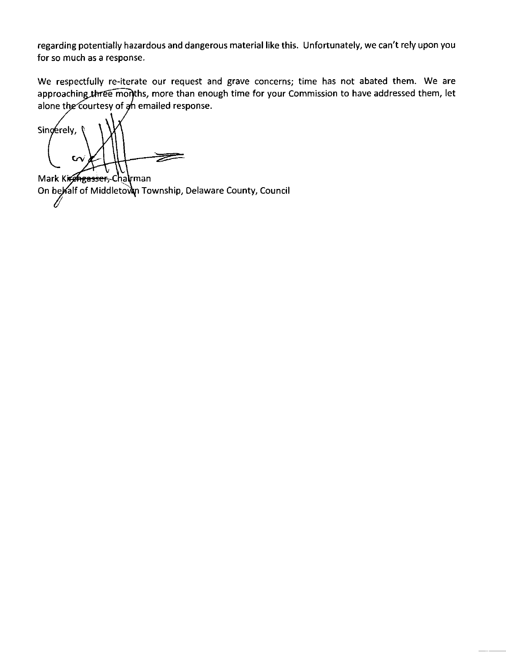**regarding potentially hazardous and dangerous material like this. Unfortunately, we can't rely upon you for so much as a response.**

**We respectfully re-iterate our request and grave concerns; time has not abated them. We are approaching^thtglTmofjths, more than enough time for your Commission to have addressed them, let alone the'courtesy of an emailed response.**

Singerely, **Participate** c,

Mark Kirchgasser, Chalyman On behalf of Middletown Township, Delaware County, Council